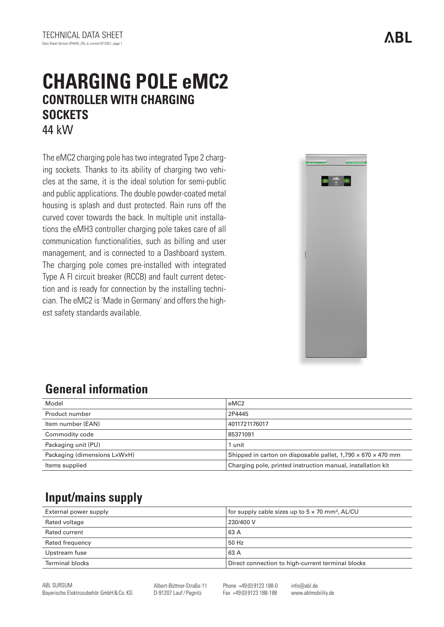# **CHARGING POLE eMC2 CONTROLLER WITH CHARGING SOCKETS** 44 kW

The eMC2 charging pole has two integrated Type 2 charging sockets. Thanks to its ability of charging two vehicles at the same, it is the ideal solution for semi-public and public applications. The double powder-coated metal housing is splash and dust protected. Rain runs off the curved cover towards the back. In multiple unit installations the eMH3 controller charging pole takes care of all communication functionalities, such as billing and user management, and is connected to a Dashboard system. The charging pole comes pre-installed with integrated Type A FI circuit breaker (RCCB) and fault current detection and is ready for connection by the installing technician. The eMC2 is 'Made in Germany' and offers the highest safety standards available.



# **General information**

| Model                        | eMC <sub>2</sub>                                                         |
|------------------------------|--------------------------------------------------------------------------|
| Product number               | 2P4445                                                                   |
| Item number (EAN)            | 4011721176017                                                            |
| Commodity code               | 85371091                                                                 |
| Packaging unit (PU)          | 1 unit                                                                   |
| Packaging (dimensions LxWxH) | Shipped in carton on disposable pallet, $1,790 \times 670 \times 470$ mm |
| Items supplied               | Charging pole, printed instruction manual, installation kit              |

## **Input/mains supply**

| External power supply  | for supply cable sizes up to $5 \times 70$ mm <sup>2</sup> , AL/CU |
|------------------------|--------------------------------------------------------------------|
| Rated voltage          | 230/400 V                                                          |
| Rated current          | 63 A                                                               |
| Rated frequency        | 50 Hz                                                              |
| Upstream fuse          | 63 A                                                               |
| <b>Terminal blocks</b> | Direct connection to high-current terminal blocks                  |

**ARL** 

ABL SURSUM Bayerische Elektrozubehör GmbH&Co. KG Albert-Büttner-Straße 11 D-91207 Lauf/ Pegnitz

Phone +49 (0) 9123 188-0 Fax +49 (0) 9123 188-188

info@abl.de www.ablmobility.de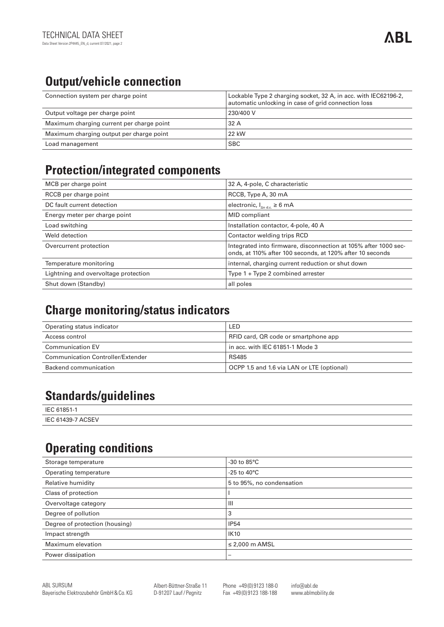# **Output/vehicle connection**

| Connection system per charge point        | Lockable Type 2 charging socket, 32 A, in acc. with IEC62196-2,<br>automatic unlocking in case of grid connection loss |
|-------------------------------------------|------------------------------------------------------------------------------------------------------------------------|
| Output voltage per charge point           | 230/400 V                                                                                                              |
| Maximum charging current per charge point | 32 A                                                                                                                   |
| Maximum charging output per charge point  | 22 kW                                                                                                                  |
| Load management                           | <b>SBC</b>                                                                                                             |

#### **Protection/integrated components**

| MCB per charge point                 | 32 A, 4-pole, C characteristic                                                                                               |
|--------------------------------------|------------------------------------------------------------------------------------------------------------------------------|
| RCCB per charge point                | RCCB, Type A, 30 mA                                                                                                          |
| DC fault current detection           | electronic, $I_{\text{And}} \ge 6 \text{ mA}$                                                                                |
| Energy meter per charge point        | <b>MID</b> compliant                                                                                                         |
| Load switching                       | Installation contactor, 4-pole, 40 A                                                                                         |
| Weld detection                       | Contactor welding trips RCD                                                                                                  |
| Overcurrent protection               | Integrated into firmware, disconnection at 105% after 1000 sec-<br>onds, at 110% after 100 seconds, at 120% after 10 seconds |
| Temperature monitoring               | internal, charging current reduction or shut down                                                                            |
| Lightning and overvoltage protection | Type $1 + Type 2$ combined arrester                                                                                          |
| Shut down (Standby)                  | all poles                                                                                                                    |

#### **Charge monitoring/status indicators**

| Operating status indicator        | LED                                        |
|-----------------------------------|--------------------------------------------|
| Access control                    | RFID card, QR code or smartphone app       |
| <b>Communication EV</b>           | in acc. with IEC 61851-1 Mode 3            |
| Communication Controller/Extender | <b>RS485</b>                               |
| Backend communication             | OCPP 1.5 and 1.6 via LAN or LTE (optional) |

#### **Standards/guidelines**

| IFC.<br>61851              |  |
|----------------------------|--|
| <b>ACSEV</b><br>IEC 61439- |  |

## **Operating conditions**

| Storage temperature            | -30 to $85^{\circ}$ C     |
|--------------------------------|---------------------------|
| Operating temperature          | -25 to 40 $^{\circ}$ C    |
| Relative humidity              | 5 to 95%, no condensation |
| Class of protection            |                           |
| Overvoltage category           | Ш                         |
| Degree of pollution            | 3                         |
| Degree of protection (housing) | <b>IP54</b>               |
| Impact strength                | <b>IK10</b>               |
| Maximum elevation              | $\leq$ 2,000 m AMSL       |
| Power dissipation              | $\overline{\phantom{0}}$  |

Albert-Büttner-Straße 11 D-91207 Lauf/ Pegnitz

Phone +49 (0) 9123 188-0 Fax +49 (0) 9123 188-188

info@abl.de www.ablmobility.de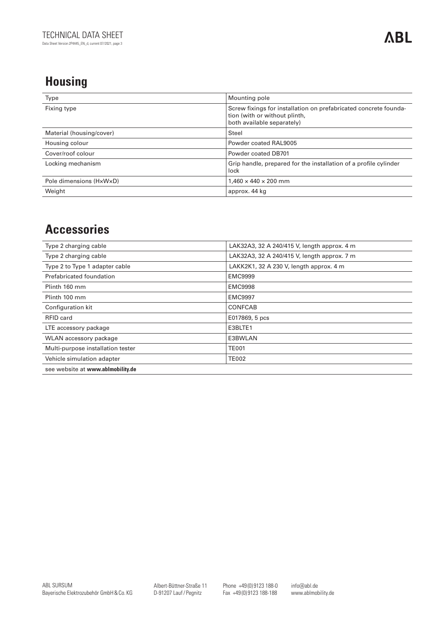## **Housing**

| Type                     | Mounting pole                                                                                                                   |
|--------------------------|---------------------------------------------------------------------------------------------------------------------------------|
| Fixing type              | Screw fixings for installation on prefabricated concrete founda-<br>tion (with or without plinth,<br>both available separately) |
| Material (housing/cover) | Steel                                                                                                                           |
| Housing colour           | Powder coated RAL9005                                                                                                           |
| Cover/roof colour        | Powder coated DB701                                                                                                             |
| Locking mechanism        | Grip handle, prepared for the installation of a profile cylinder<br>lock                                                        |
| Pole dimensions (HxWxD)  | $1.460 \times 440 \times 200$ mm                                                                                                |
| Weight                   | approx. 44 kg                                                                                                                   |

#### **Accessories**

| Type 2 charging cable             | LAK32A3, 32 A 240/415 V, length approx. 4 m |
|-----------------------------------|---------------------------------------------|
| Type 2 charging cable             | LAK32A3, 32 A 240/415 V, length approx. 7 m |
| Type 2 to Type 1 adapter cable    | LAKK2K1, 32 A 230 V, length approx. 4 m     |
| Prefabricated foundation          | <b>EMC9999</b>                              |
| Plinth 160 mm                     | <b>EMC9998</b>                              |
| Plinth 100 mm                     | <b>EMC9997</b>                              |
| Configuration kit                 | CONFCAB                                     |
| RFID card                         | E017869, 5 pcs                              |
| LTE accessory package             | E3BLTE1                                     |
| WLAN accessory package            | E3BWLAN                                     |
| Multi-purpose installation tester | <b>TE001</b>                                |
| Vehicle simulation adapter        | <b>TE002</b>                                |
| see website at www.ablmobility.de |                                             |